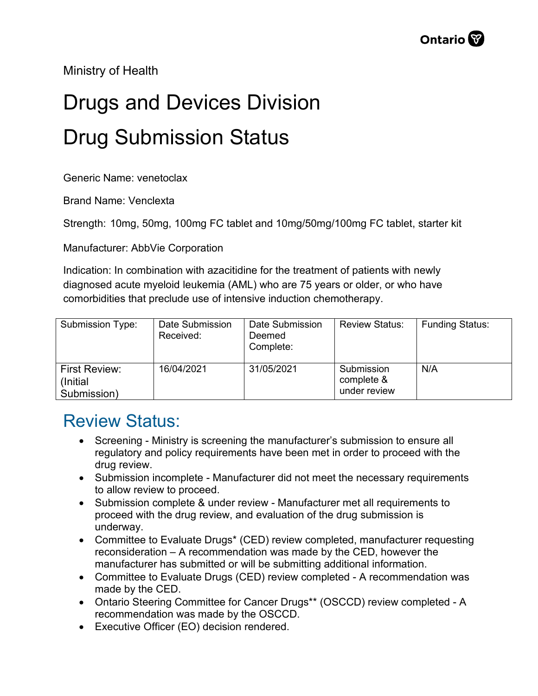Ministry of Health

## Drugs and Devices Division Drug Submission Status

Generic Name: venetoclax

Brand Name: Venclexta

Strength: 10mg, 50mg, 100mg FC tablet and 10mg/50mg/100mg FC tablet, starter kit

Manufacturer: AbbVie Corporation

Indication: In combination with azacitidine for the treatment of patients with newly diagnosed acute myeloid leukemia (AML) who are 75 years or older, or who have comorbidities that preclude use of intensive induction chemotherapy.

| Submission Type:                                 | Date Submission<br>Received: | Date Submission<br>Deemed<br>Complete: | <b>Review Status:</b>                    | <b>Funding Status:</b> |
|--------------------------------------------------|------------------------------|----------------------------------------|------------------------------------------|------------------------|
| <b>First Review:</b><br>(Initial)<br>Submission) | 16/04/2021                   | 31/05/2021                             | Submission<br>complete &<br>under review | N/A                    |

## Review Status:

- Screening Ministry is screening the manufacturer's submission to ensure all regulatory and policy requirements have been met in order to proceed with the drug review.
- Submission incomplete Manufacturer did not meet the necessary requirements to allow review to proceed.
- Submission complete & under review Manufacturer met all requirements to proceed with the drug review, and evaluation of the drug submission is underway.
- Committee to Evaluate Drugs\* (CED) review completed, manufacturer requesting reconsideration – A recommendation was made by the CED, however the manufacturer has submitted or will be submitting additional information.
- Committee to Evaluate Drugs (CED) review completed A recommendation was made by the CED.
- Ontario Steering Committee for Cancer Drugs\*\* (OSCCD) review completed A recommendation was made by the OSCCD.
- Executive Officer (EO) decision rendered.